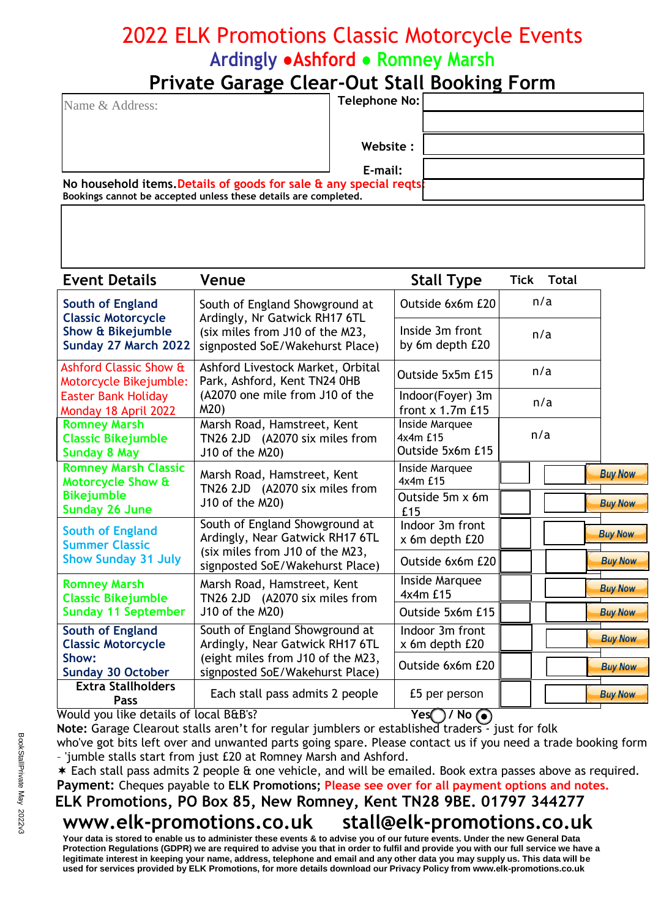# 2022 ELK Promotions Classic Motorcycle Events **Ardingly ●Ashford ● Romney Marsh**

### **Private Garage Clear-Out Stall Booking Form**

| Name & Address:                                                                                                                              | Telephone No: |  |
|----------------------------------------------------------------------------------------------------------------------------------------------|---------------|--|
|                                                                                                                                              |               |  |
|                                                                                                                                              | Website:      |  |
|                                                                                                                                              | E-mail:       |  |
| No household items. Details of goods for sale $\alpha$ any special reqts.<br>Bookings cannot be accepted unless these details are completed. |               |  |

| <b>Event Details</b>                                                           | Venue                                                                                                                                   | <b>Stall Type</b>                              | Tick<br><b>Total</b> |                |
|--------------------------------------------------------------------------------|-----------------------------------------------------------------------------------------------------------------------------------------|------------------------------------------------|----------------------|----------------|
| South of England<br><b>Classic Motorcycle</b>                                  | South of England Showground at<br>Ardingly, Nr Gatwick RH17 6TL                                                                         | Outside 6x6m £20                               | n/a                  |                |
| <b>Show &amp; Bikejumble</b><br>Sunday 27 March 2022                           | (six miles from J10 of the M23,<br>signposted SoE/Wakehurst Place)                                                                      | Inside 3m front<br>by 6m depth £20             | n/a                  |                |
| Ashford Classic Show &<br>Motorcycle Bikejumble:                               | Ashford Livestock Market, Orbital<br>Park, Ashford, Kent TN24 0HB<br>(A2070 one mile from J10 of the<br>M20)                            | Outside 5x5m £15                               | n/a                  |                |
| <b>Easter Bank Holiday</b><br>Monday 18 April 2022                             |                                                                                                                                         | Indoor(Foyer) 3m<br>front x 1.7m £15           | n/a                  |                |
| <b>Romney Marsh</b><br><b>Classic Bikejumble</b><br><b>Sunday 8 May</b>        | Marsh Road, Hamstreet, Kent<br>TN26 2JD (A2070 six miles from<br>J10 of the M20)                                                        | Inside Marquee<br>4x4m £15<br>Outside 5x6m £15 | n/a                  |                |
| <b>Romney Marsh Classic</b><br>Motorcycle Show &                               | Marsh Road, Hamstreet, Kent<br>TN26 2JD (A2070 six miles from<br>J10 of the M20)                                                        | Inside Marquee<br>4x4m £15                     |                      | <b>Buy Now</b> |
| <b>Bikejumble</b><br>Sunday 26 June                                            |                                                                                                                                         | Outside 5m x 6m<br>£15                         |                      | <b>Buy Now</b> |
| <b>South of England</b><br><b>Summer Classic</b><br><b>Show Sunday 31 July</b> | South of England Showground at<br>Ardingly, Near Gatwick RH17 6TL<br>(six miles from J10 of the M23,<br>signposted SoE/Wakehurst Place) | Indoor 3m front<br>x 6m depth £20              |                      | <b>Buy Now</b> |
|                                                                                |                                                                                                                                         | Outside 6x6m £20                               |                      | <b>Buy Now</b> |
| <b>Romney Marsh</b><br><b>Classic Bikejumble</b>                               | Marsh Road, Hamstreet, Kent<br>TN26 2JD (A2070 six miles from                                                                           | Inside Marquee<br>4x4m £15                     |                      | <b>Buy Now</b> |
| <b>Sunday 11 September</b>                                                     | J10 of the M20)                                                                                                                         | Outside 5x6m £15                               |                      | <b>Buy Now</b> |
| <b>South of England</b><br><b>Classic Motorcycle</b>                           | South of England Showground at<br>Ardingly, Near Gatwick RH17 6TL                                                                       | Indoor 3m front<br>x 6m depth £20              |                      | <b>Buy Now</b> |
| Show:<br><b>Sunday 30 October</b>                                              | (eight miles from J10 of the M23,<br>signposted SoE/Wakehurst Place)                                                                    | Outside 6x6m £20                               |                      | <b>Buy Now</b> |
| <b>Extra Stallholders</b><br>Pass                                              | Each stall pass admits 2 people                                                                                                         | £5 per person<br>$\overline{\phantom{a}}$      |                      | <b>Buy Now</b> |

Would you like details of local B&B's? **Yes / No** 

**Note:** Garage Clearout stalls aren't for regular jumblers or established traders - just for folk who've got bits left over and unwanted parts going spare. Please contact us if you need a trade booking form – 'jumble stalls start from just £20 at Romney Marsh and Ashford.

Each stall pass admits 2 people & one vehicle, and will be emailed. Book extra passes above as required.

**Payment:** Cheques payable to **ELK Promotions; Please see over for all payment options and notes.**

# **ELK Promotions, PO Box 85, New Romney, Kent TN28 9BE. 01797 344277**

#### **[www.elk-promotions.co.uk](http://www.elk-promotions.co.uk) [stall@elk-promotions.co.uk](mailto:stall@elk-promotions.co.uk)**

**Your data is stored to enable us to administer these events & to advise you of our future events. Under the new General Data Protection Regulations (GDPR) we are required to advise you that in order to fulfil and provide you with our full service we have a legitimate interest in keeping your name, address, telephone and email and any other data you may supply us. This data will be used for services provided by ELK Promotions, for more details download our Privacy Policy from [www.elk-promotions.co.uk](http://www.elk-promotions.co.uk)**